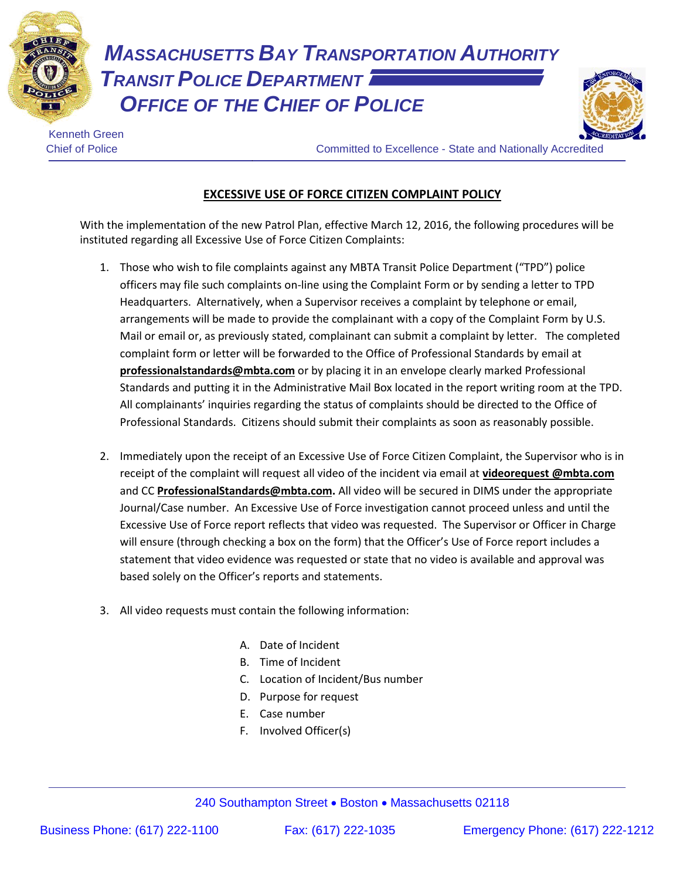

*MASSACHUSETTS BAY TRANSPORTATION AUTHORITY TRANSIT POLICE DEPARTMENT OFFICE OF THE CHIEF OF POLICE*



Kenneth Green

Chief of Police Committed to Excellence - State and Nationally Accredited

## **EXCESSIVE USE OF FORCE CITIZEN COMPLAINT POLICY**

With the implementation of the new Patrol Plan, effective March 12, 2016, the following procedures will be instituted regarding all Excessive Use of Force Citizen Complaints:

- 1. Those who wish to file complaints against any MBTA Transit Police Department ("TPD") police officers may file such complaints on-line using the Complaint Form or by sending a letter to TPD Headquarters. Alternatively, when a Supervisor receives a complaint by telephone or email, arrangements will be made to provide the complainant with a copy of the Complaint Form by U.S. Mail or email or, as previously stated, complainant can submit a complaint by letter. The completed complaint form or letter will be forwarded to the Office of Professional Standards by email at **professionalstandards@mbta.com** or by placing it in an envelope clearly marked Professional Standards and putting it in the Administrative Mail Box located in the report writing room at the TPD. All complainants' inquiries regarding the status of complaints should be directed to the Office of Professional Standards. Citizens should submit their complaints as soon as reasonably possible.
- 2. Immediately upon the receipt of an Excessive Use of Force Citizen Complaint, the Supervisor who is in receipt of the complaint will request all video of the incident via email at **videorequest @mbta.com** and CC **ProfessionalStandards@mbta.com.** All video will be secured in DIMS under the appropriate Journal/Case number. An Excessive Use of Force investigation cannot proceed unless and until the Excessive Use of Force report reflects that video was requested. The Supervisor or Officer in Charge will ensure (through checking a box on the form) that the Officer's Use of Force report includes a statement that video evidence was requested or state that no video is available and approval was based solely on the Officer's reports and statements.
- 3. All video requests must contain the following information:
	- A. Date of Incident
	- B. Time of Incident
	- C. Location of Incident/Bus number
	- D. Purpose for request
	- E. Case number
	- F. Involved Officer(s)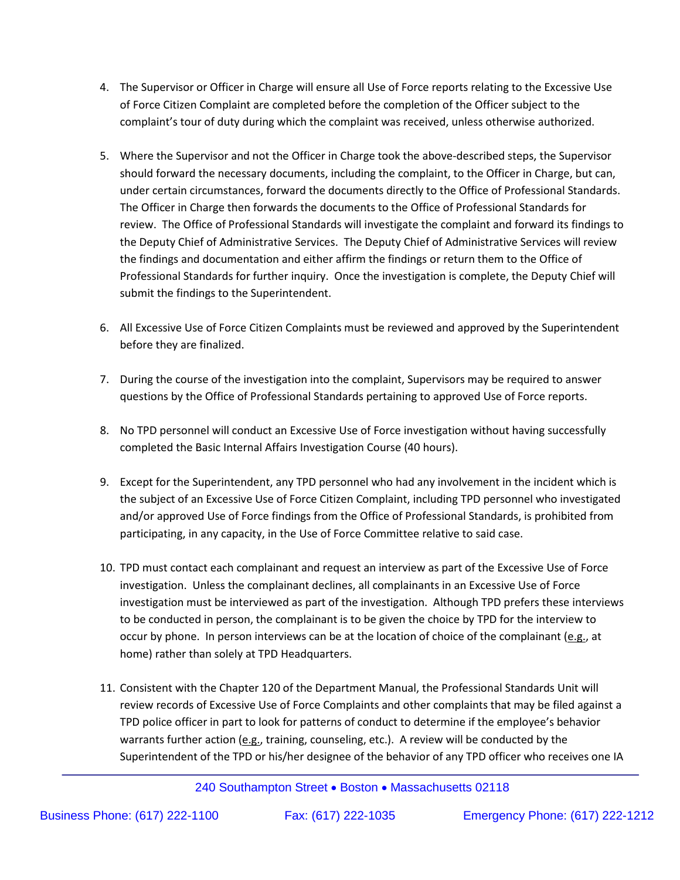- 4. The Supervisor or Officer in Charge will ensure all Use of Force reports relating to the Excessive Use of Force Citizen Complaint are completed before the completion of the Officer subject to the complaint's tour of duty during which the complaint was received, unless otherwise authorized.
- 5. Where the Supervisor and not the Officer in Charge took the above-described steps, the Supervisor should forward the necessary documents, including the complaint, to the Officer in Charge, but can, under certain circumstances, forward the documents directly to the Office of Professional Standards. The Officer in Charge then forwards the documents to the Office of Professional Standards for review. The Office of Professional Standards will investigate the complaint and forward its findings to the Deputy Chief of Administrative Services. The Deputy Chief of Administrative Services will review the findings and documentation and either affirm the findings or return them to the Office of Professional Standards for further inquiry. Once the investigation is complete, the Deputy Chief will submit the findings to the Superintendent.
- 6. All Excessive Use of Force Citizen Complaints must be reviewed and approved by the Superintendent before they are finalized.
- 7. During the course of the investigation into the complaint, Supervisors may be required to answer questions by the Office of Professional Standards pertaining to approved Use of Force reports.
- 8. No TPD personnel will conduct an Excessive Use of Force investigation without having successfully completed the Basic Internal Affairs Investigation Course (40 hours).
- 9. Except for the Superintendent, any TPD personnel who had any involvement in the incident which is the subject of an Excessive Use of Force Citizen Complaint, including TPD personnel who investigated and/or approved Use of Force findings from the Office of Professional Standards, is prohibited from participating, in any capacity, in the Use of Force Committee relative to said case.
- 10. TPD must contact each complainant and request an interview as part of the Excessive Use of Force investigation. Unless the complainant declines, all complainants in an Excessive Use of Force investigation must be interviewed as part of the investigation. Although TPD prefers these interviews to be conducted in person, the complainant is to be given the choice by TPD for the interview to occur by phone. In person interviews can be at the location of choice of the complainant (e.g., at home) rather than solely at TPD Headquarters.
- 11. Consistent with the Chapter 120 of the Department Manual, the Professional Standards Unit will review records of Excessive Use of Force Complaints and other complaints that may be filed against a TPD police officer in part to look for patterns of conduct to determine if the employee's behavior warrants further action ( $e.g.,$  training, counseling, etc.). A review will be conducted by the Superintendent of the TPD or his/her designee of the behavior of any TPD officer who receives one IA

240 Southampton Street • Boston • Massachusetts 02118